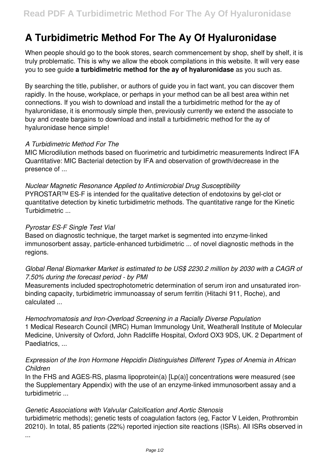# **A Turbidimetric Method For The Ay Of Hyaluronidase**

When people should go to the book stores, search commencement by shop, shelf by shelf, it is truly problematic. This is why we allow the ebook compilations in this website. It will very ease you to see guide **a turbidimetric method for the ay of hyaluronidase** as you such as.

By searching the title, publisher, or authors of guide you in fact want, you can discover them rapidly. In the house, workplace, or perhaps in your method can be all best area within net connections. If you wish to download and install the a turbidimetric method for the ay of hyaluronidase, it is enormously simple then, previously currently we extend the associate to buy and create bargains to download and install a turbidimetric method for the ay of hyaluronidase hence simple!

# *A Turbidimetric Method For The*

MIC Microdilution methods based on fluorimetric and turbidimetric measurements Indirect IFA Quantitative: MIC Bacterial detection by IFA and observation of growth/decrease in the presence of ...

*Nuclear Magnetic Resonance Applied to Antimicrobial Drug Susceptibility* PYROSTAR™ ES-F is intended for the qualitative detection of endotoxins by gel-clot or quantitative detection by kinetic turbidimetric methods. The quantitative range for the Kinetic Turbidimetric ...

# *Pyrostar ES-F Single Test Vial*

Based on diagnostic technique, the target market is segmented into enzyme-linked immunosorbent assay, particle-enhanced turbidimetric ... of novel diagnostic methods in the regions.

# *Global Renal Biomarker Market is estimated to be US\$ 2230.2 million by 2030 with a CAGR of 7.50% during the forecast period - by PMI*

Measurements included spectrophotometric determination of serum iron and unsaturated ironbinding capacity, turbidimetric immunoassay of serum ferritin (Hitachi 911, Roche), and calculated ...

#### *Hemochromatosis and Iron-Overload Screening in a Racially Diverse Population*

1 Medical Research Council (MRC) Human Immunology Unit, Weatherall Institute of Molecular Medicine, University of Oxford, John Radcliffe Hospital, Oxford OX3 9DS, UK. 2 Department of Paediatrics, ...

# *Expression of the Iron Hormone Hepcidin Distinguishes Different Types of Anemia in African Children*

In the FHS and AGES-RS, plasma lipoprotein(a) [Lp(a)] concentrations were measured (see the Supplementary Appendix) with the use of an enzyme-linked immunosorbent assay and a turbidimetric ...

#### *Genetic Associations with Valvular Calcification and Aortic Stenosis*

turbidimetric methods); genetic tests of coagulation factors (eg, Factor V Leiden, Prothrombin 20210). In total, 85 patients (22%) reported injection site reactions (ISRs). All ISRs observed in

...